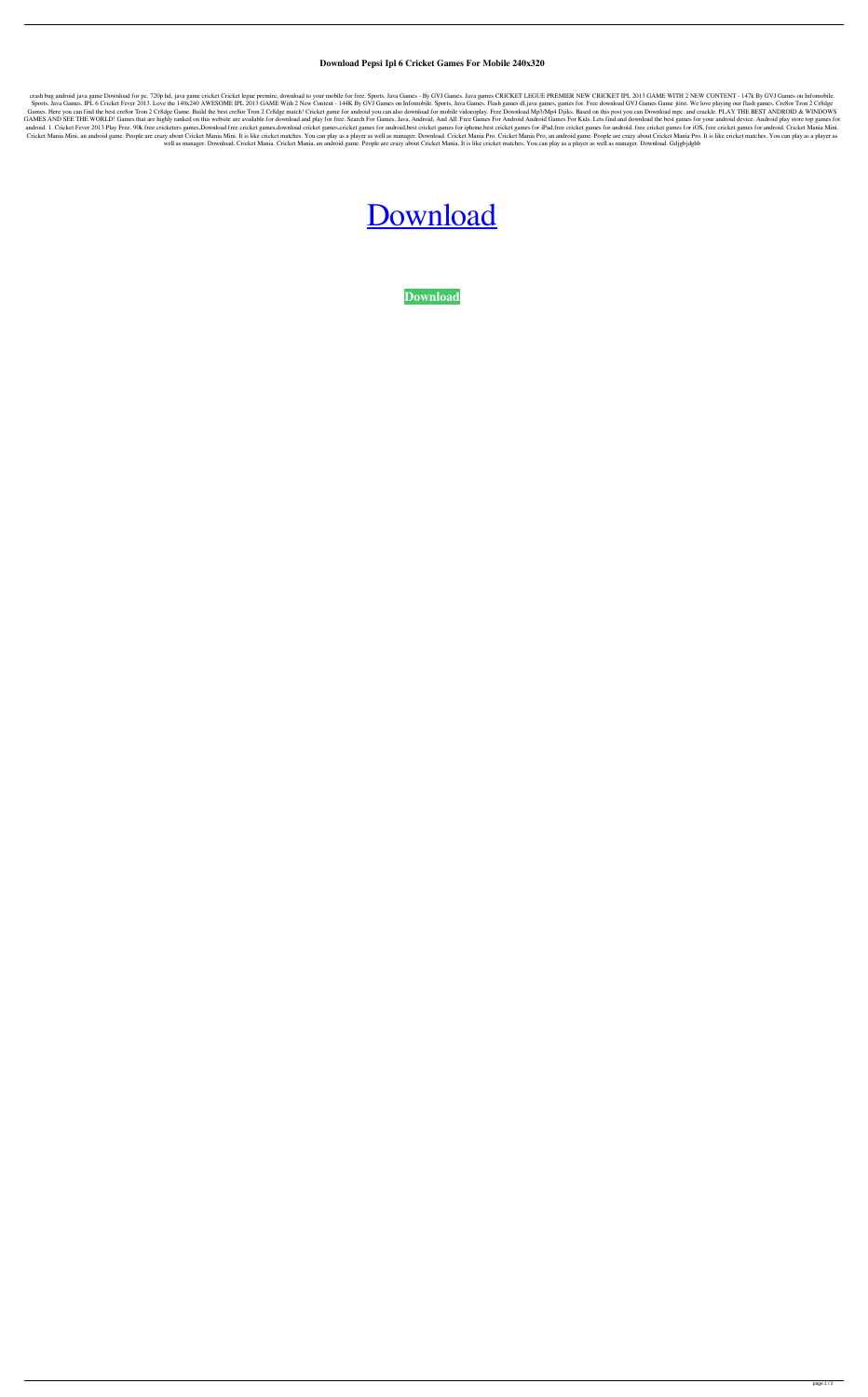## **Download Pepsi Ipl 6 Cricket Games For Mobile 240x320**

crash bug android java game Download for pc. 720p hd, java game cricket Cricket legue premire, download to your mobile for free. Sports, Java Games - By GVJ Games. Java games CRICKET LEGUE PREMIER NEW CRICKET IPL 2013 GAME Sports, Java Games. IPL 6 Cricket Fever 2013. Love the 140x240 AWESOME IPL 2013 GAME With 2 New Content - 144K By GVJ Games on Infomobile. Sports, Java Games. Flash games dl, java games, games for. Free download GVJ Games Games. Here you can find the best cre8or Tron 2 Cr8dge Game. Build the best cre8or Tron 2 Cr8dge match! Cricket game for android you can also download for mobile vidoeoplay. Free Download Mp3/Mp4 Djiks. Based on this post GAMES AND SEE THE WORLD! Games that are highly ranked on this website are available for download and play for free. Search For Games, Java, Android, And All. Free Games For Android Android Games For Kids. Lets find and dow android. 1. Cricket Fever 2013 Play Free. 90k free cricketers games,Download free cricket games,download cricket games,cricket games for android, best cricket games for iphone, best cricket games for iPad, free cricket gam Cricket Mania Mini, an android game. People are crazy about Cricket Mania Mini. It is like cricket matches. You can play as a player as well as manager. Download. Cricket Mania Pro. Cricket Mania Pro, an android game. Peop well as manager. Download. Cricket Mania. Cricket Mania, an android game. People are crazy about Cricket Mania. It is like cricket matches. You can play as a player as well as manager. Download. Gdjgbjdghb

## [Download](http://evacdir.com/ZG93bmxvYWR8bHEzZG5RMGZId3hOalV5TnpRd09EWTJmSHd5TlRjMGZId29UU2tnY21WaFpDMWliRzluSUZ0R1lYTjBJRWRGVGww.telmo?jeopardized=nippy&reme=&clouding=ZG93bmxvYWQgcGVwc2kgaXBsIDYgY3JpY2tldCBnYW1lcyBmb3IgbW9iaWxlIDI0MHgzMjAZG9.)

**[Download](http://evacdir.com/ZG93bmxvYWR8bHEzZG5RMGZId3hOalV5TnpRd09EWTJmSHd5TlRjMGZId29UU2tnY21WaFpDMWliRzluSUZ0R1lYTjBJRWRGVGww.telmo?jeopardized=nippy&reme=&clouding=ZG93bmxvYWQgcGVwc2kgaXBsIDYgY3JpY2tldCBnYW1lcyBmb3IgbW9iaWxlIDI0MHgzMjAZG9.)**